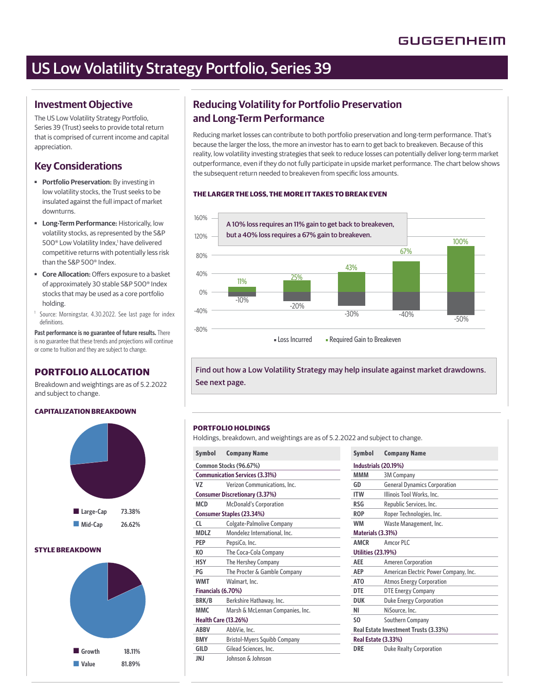# US Low Volatility Strategy Portfolio, Series 39

# **Investment Objective**

The US Low Volatility Strategy Portfolio, Series 39 (Trust) seeks to provide total return that is comprised of current income and capital appreciation.

# **Key Considerations**

- ■ **Portfolio Preservation:** By investing in low volatility stocks, the Trust seeks to be insulated against the full impact of market downturns.
- ■ **Long-Term Performance:** Historically, low volatility stocks, as represented by the S&P 500<sup>®</sup> Low Volatility Index,<sup>1</sup> have delivered competitive returns with potentially less risk than the S&P 500® Index.
- **Core Allocation:** Offers exposure to a basket of approximately 30 stable S&P 500® Index stocks that may be used as a core portfolio holding.
- <sup>1</sup> Source: Morningstar, 4.30.2022. See last page for index definitions.

**Past performance is no guarantee of future results.** There is no guarantee that these trends and projections will continue or come to fruition and they are subject to change.

# **PORTFOLIO ALLOCATION**

Breakdown and weightings are as of 5.2.2022 and subject to change.

#### **CAPITALIZATION BREAKDOWN**



### **STYLE BREAKDOWN**



# **Reducing Volatility for Portfolio Preservation and Long-Term Performance**

Reducing market losses can contribute to both portfolio preservation and long-term performance. That's because the larger the loss, the more an investor has to earn to get back to breakeven. Because of this reality, low volatility investing strategies that seek to reduce losses can potentially deliver long-term market outperformance, even if they do not fully participate in upside market performance. The chart below shows the subsequent return needed to breakeven from specific loss amounts.

#### **THE LARGER THE LOSS, THE MORE IT TAKES TO BREAK EVEN**



Find out how a Low Volatility Strategy may help insulate against market drawdowns. See next page.

#### **PORTFOLIO HOLDINGS**

Holdings, breakdown, and weightings are as of 5.2.2022 and subject to change.

| <b>Symbol</b>          | <b>Company Name</b>                   | <b>Symbol</b>   | <b>Company Name</b>                  |  |
|------------------------|---------------------------------------|-----------------|--------------------------------------|--|
| Common Stocks (96.67%) |                                       |                 | Industrials (20.19%)                 |  |
|                        | <b>Communication Services (3.31%)</b> | <b>MMM</b>      | 3M Company                           |  |
| VZ                     | Verizon Communications, Inc.          | GD              | <b>General Dynamics</b>              |  |
|                        | <b>Consumer Discretionary (3.37%)</b> | <b>ITW</b>      | <b>Illinois Tool Work:</b>           |  |
| <b>MCD</b>             | <b>McDonald's Corporation</b>         | <b>RSG</b>      | <b>Republic Services</b>             |  |
|                        | Consumer Staples (23.34%)             | <b>ROP</b>      | Roper Technologi                     |  |
| CL.                    | <b>Colgate-Palmolive Company</b>      | <b>WM</b>       | <b>Waste Manageme</b>                |  |
| <b>MDLZ</b>            | Mondelez International, Inc.          |                 | Materials (3.31%)                    |  |
| <b>PEP</b>             | PepsiCo, Inc.                         | <b>AMCR</b>     | Amcor PLC                            |  |
| KO                     | The Coca-Cola Company                 |                 | <b>Utilities (23.19%)</b>            |  |
| <b>HSY</b>             | The Hershey Company                   | <b>AEE</b>      | Ameren Corporati                     |  |
| PG                     | The Procter & Gamble Company          | <b>AEP</b>      | <b>American Electric</b>             |  |
| <b>WMT</b>             | Walmart, Inc.                         | AT <sub>0</sub> | Atmos Energy Cor                     |  |
| Financials (6.70%)     |                                       | <b>DTE</b>      | <b>DTE Energy Comp</b>               |  |
| BRK/B                  | Berkshire Hathaway, Inc.              | <b>DUK</b>      | Duke Energy Corp                     |  |
| <b>MMC</b>             | Marsh & McLennan Companies, Inc.      | ΝI              | NiSource, Inc.                       |  |
|                        | <b>Health Care (13.26%)</b>           | S <sub>0</sub>  | Southern Compan                      |  |
| <b>ABBV</b>            | AbbVie, Inc.                          |                 | <b>Real Estate Investment Trusts</b> |  |
| <b>BMY</b>             | <b>Bristol-Myers Squibb Company</b>   |                 | Real Estate (3.33%)                  |  |
| <b>GILD</b>            | Gilead Sciences, Inc.                 | <b>DRE</b>      | Duke Realty Corpo                    |  |
| JNJ                    | Johnson & Johnson                     |                 |                                      |  |

| <b>Symbol</b>             | <b>Company Name</b>                   |
|---------------------------|---------------------------------------|
|                           | Industrials (20.19%)                  |
| MMM                       | <b>3M Company</b>                     |
| GD                        | <b>General Dynamics Corporation</b>   |
| <b>ITW</b>                | Illinois Tool Works, Inc.             |
| RSG                       | Republic Services, Inc.               |
| <b>ROP</b>                | Roper Technologies, Inc.              |
| <b>WM</b>                 | Waste Management, Inc.                |
| Materials (3.31%)         |                                       |
| <b>AMCR</b>               | Amcor PIC                             |
| <b>Utilities (23.19%)</b> |                                       |
| <b>AEE</b>                | <b>Ameren Corporation</b>             |
| <b>AEP</b>                | American Electric Power Company, Inc. |
| AT <sub>0</sub>           | <b>Atmos Energy Corporation</b>       |
| <b>DTE</b>                | <b>DTE Energy Company</b>             |
| <b>DUK</b>                | <b>Duke Energy Corporation</b>        |
| ΝI                        | NiSource, Inc.                        |
| S <sub>0</sub>            | Southern Company                      |
|                           | Real Estate Investment Trusts (3.33%) |
| Real Estate (3.33%)       |                                       |
| DRE                       | <b>Duke Realty Corporation</b>        |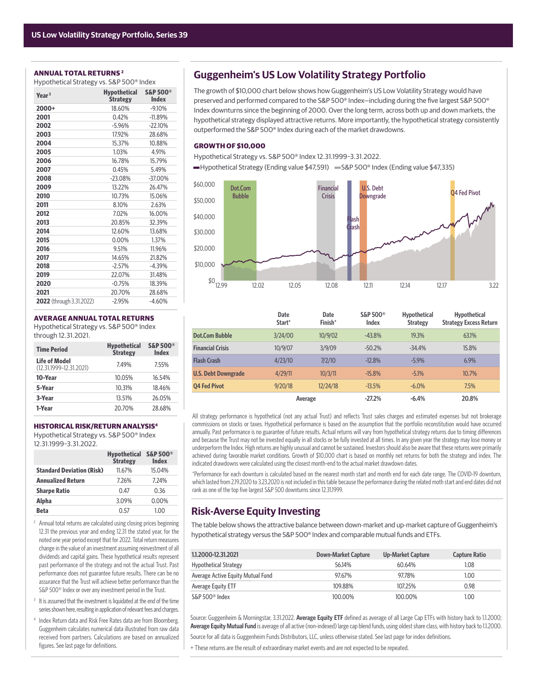### **ANNUAL TOTAL RETURNS 2**

| Hypothetical Strategy vs. S&P 500® Index |                                        |                                     |
|------------------------------------------|----------------------------------------|-------------------------------------|
| Year <sup>3</sup>                        | <b>Hypothetical</b><br><b>Strategy</b> | <b>S&amp;P 500®</b><br><b>Index</b> |
| 2000+                                    | 18.60%                                 | $-9.10%$                            |
| 2001                                     | 0.42%                                  | $-11.89%$                           |
| 2002                                     | $-5.96%$                               | $-22.10%$                           |
| 2003                                     | 17.92%                                 | 28.68%                              |
| 2004                                     | 15.37%                                 | 10.88%                              |
| 2005                                     | 1.03%                                  | 4.91%                               |
| 2006                                     | 16.78%                                 | 15.79%                              |
| 2007                                     | 0.45%                                  | 5.49%                               |
| 2008                                     | $-23.08%$                              | -37.00%                             |
| 2009                                     | 13.22%                                 | 26.47%                              |
| 2010                                     | 10.73%                                 | 15.06%                              |
| 2011                                     | 8.10%                                  | 2.63%                               |
| 2012                                     | 7.02%                                  | 16.00%                              |
| 2013                                     | 20.85%                                 | 32.39%                              |
| 2014                                     | 12.60%                                 | 13.68%                              |
| 2015                                     | 0.00%                                  | 1.37%                               |
| 2016                                     | 9.51%                                  | 11.96%                              |
| 2017                                     | 14.65%                                 | 21.82%                              |
| 2018                                     | $-2.57%$                               | $-4.39%$                            |
| 2019                                     | 22.07%                                 | 31.48%                              |
| 2020                                     | $-0.75%$                               | 18.39%                              |
| 2021                                     | 20.70%                                 | 28.68%                              |
| <b>2022</b> (through 3.31.2022)          | $-2.95%$                               | $-4.60%$                            |

#### **AVERAGE ANNUAL TOTAL RETURNS**

Hypothetical Strategy vs. S&P 500® Index through 12.31.2021.

| <b>Time Period</b>                                  | <b>Hypothetical</b><br><b>Strategy</b> | <b>S&amp;P 500®</b><br><b>Index</b> |
|-----------------------------------------------------|----------------------------------------|-------------------------------------|
| <b>Life of Model</b><br>$(12.31.1999 - 12.31.2021)$ | 7.49%                                  | 7.55%                               |
| 10-Year                                             | 10.05%                                 | 16.54%                              |
| 5-Year                                              | 10.31%                                 | 18.46%                              |
| 3-Year                                              | 13.51%                                 | 26.05%                              |
| 1-Year                                              | 20.70%                                 | 28.68%                              |

#### **HISTORICAL RISK/RETURN ANALYSIS4**

Hypothetical Strategy vs. S&P 500® Index 12.31.1999–3.31.2022.

|                                  | <b>Hypothetical</b><br><b>Strategy</b> | <b>S&amp;P 500®</b><br><b>Index</b> |
|----------------------------------|----------------------------------------|-------------------------------------|
| <b>Standard Deviation (Risk)</b> | 11.67%                                 | 15.04%                              |
| <b>Annualized Return</b>         | 7.26%                                  | 7.24%                               |
| <b>Sharpe Ratio</b>              | 0.47                                   | 0.36                                |
| Alpha                            | 3.09%                                  | $0.00\%$                            |
| Beta                             | 0.57                                   | 1.00                                |

- <sup>2</sup> Annual total returns are calculated using closing prices beginning 12.31 the previous year and ending 12.31 the stated year, for the noted one year period except that for 2022. Total return measures change in the value of an investment assuming reinvestment of all dividends and capital gains. These hypothetical results represent past performance of the strategy and not the actual Trust. Past performance does not guarantee future results. There can be no assurance that the Trust will achieve better performance than the S&P 500® Index or over any investment period in the Trust.
- <sup>3</sup> It is assumed that the investment is liquidated at the end of the time series shown here, resulting in application of relevant fees and charges.
- 4 Index Return data and Risk Free Rates data are from Bloomberg. Guggenheim calculates numerical data illustrated from raw data received from partners. Calculations are based on annualized figures. See last page for definitions.

# **Guggenheim's US Low Volatility Strategy Portfolio**

The growth of \$10,000 chart below shows how Guggenheim's US Low Volatility Strategy would have preserved and performed compared to the S&P 500® Index-including during the five largest S&P 500® Index downturns since the beginning of 2000. Over the long term, across both up and down markets, the hypothetical strategy displayed attractive returns. More importantly, the hypothetical strategy consistently outperformed the S&P 500® Index during each of the market drawdowns.

#### **GROWTH OF \$10,000**

- Hypothetical Strategy vs. S&P 500® Index 12.31.1999–3.31.2022.
- Hypothetical Strategy (Ending value \$47,591) S&P 500® Index (Ending value \$47,335)



|                            | <b>Date</b><br>Start* | <b>Date</b><br>Finish* | S&P 500 <sup>®</sup><br><b>Index</b> | <b>Hypothetical</b><br><b>Strategy</b> | <b>Hypothetical</b><br><b>Strategy Excess Return</b> |
|----------------------------|-----------------------|------------------------|--------------------------------------|----------------------------------------|------------------------------------------------------|
| <b>Dot.Com Bubble</b>      | 3/24/00               | 10/9/02                | $-43.8%$                             | 19.3%                                  | 63.1%                                                |
| <b>Financial Crisis</b>    | 10/9/07               | 3/9/09                 | $-50.2%$                             | $-34.4%$                               | 15.8%                                                |
| <b>Flash Crash</b>         | 4/23/10               | 7/2/10                 | $-12.8%$                             | $-5.9%$                                | 6.9%                                                 |
| <b>U.S. Debt Downgrade</b> | 4/29/11               | 10/3/11                | $-15.8%$                             | $-5.1%$                                | 10.7%                                                |
| 04 Fed Pivot               | 9/20/18               | 12/24/18               | $-13.5%$                             | $-6.0\%$                               | 7.5%                                                 |
|                            |                       | Average                | $-27.2%$                             | $-6.4%$                                | 20.8%                                                |

All strategy performance is hypothetical (not any actual Trust) and reflects Trust sales charges and estimated expenses but not brokerage commissions on stocks or taxes. Hypothetical performance is based on the assumption that the portfolio reconstitution would have occurred annually. Past performance is no guarantee of future results. Actual returns will vary from hypothetical strategy returns due to timing differences and because the Trust may not be invested equally in all stocks or be fully invested at all times. In any given year the strategy may lose money or underperform the Index. High returns are highly unusual and cannot be sustained. Investors should also be aware that these returns were primarily achieved during favorable market conditions. Growth of \$10,000 chart is based on monthly net returns for both the strategy and index. The indicated drawdowns were calculated using the closest month-end to the actual market drawdown dates.

\*Performance for each downturn is calculated based on the nearest month start and month end for each date range. The COVID-19 downturn, which lasted from 2.19.2020 to 3.23.2020 is not included in this table because the performance during the related moth start and end dates did not rank as one of the top five largest S&P 500 downturns since 12.31.1999.

# **Risk-Averse Equity Investing**

The table below shows the attractive balance between down-market and up-market capture of Guggenheim's hypothetical strategy versus the S&P 500® Index and comparable mutual funds and ETFs.

| 1.1.2000-12.31.2021               | <b>Down-Market Capture</b> | Up-Market Capture | <b>Capture Ratio</b> |
|-----------------------------------|----------------------------|-------------------|----------------------|
| <b>Hypothetical Strategy</b>      | 56.14%                     | 60.64%            | 1.08                 |
| Average Active Equity Mutual Fund | 97.67%                     | 97.78%            | 1.00                 |
| Average Equity ETF                | 109.88%                    | 107.25%           | 0.98                 |
| S&P 500 <sup>®</sup> Index        | 100.00%                    | 100.00%           | 1.00                 |

Source: Guggenheim & Morningstar, 3.31.2022. Average Equity ETF defined as average of all Large Cap ETFs with history back to 1.1.2000; **Average Equity Mutual Fund** is average of all active (non-indexed) large cap blend funds, using oldest share class, with history back to 1.1.2000. Source for all data is Guggenheim Funds Distributors, LLC, unless otherwise stated. See last page for index definitions.

+ These returns are the result of extraordinary market events and are not expected to be repeated.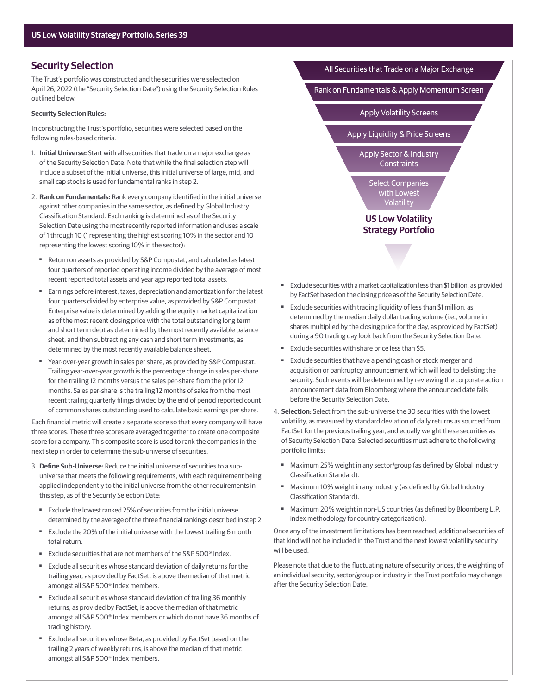# **Security Selection**

The Trust's portfolio was constructed and the securities were selected on April 26, 2022 (the "Security Selection Date") using the Security Selection Rules outlined below.

#### **Security Selection Rules:**

In constructing the Trust's portfolio, securities were selected based on the following rules-based criteria.

- 1. **Initial Universe:** Start with all securities that trade on a major exchange as of the Security Selection Date. Note that while the final selection step will include a subset of the initial universe, this initial universe of large, mid, and small cap stocks is used for fundamental ranks in step 2.
- 2. Rank on Fundamentals: Rank every company identified in the initial universe against other companies in the same sector, as defined by Global Industry Classification Standard. Each ranking is determined as of the Security Selection Date using the most recently reported information and uses a scale of 1 through 10 (1 representing the highest scoring 10% in the sector and 10 representing the lowest scoring 10% in the sector):
	- Return on assets as provided by S&P Compustat, and calculated as latest four quarters of reported operating income divided by the average of most recent reported total assets and year ago reported total assets.
	- Earnings before interest, taxes, depreciation and amortization for the latest four quarters divided by enterprise value, as provided by S&P Compustat. Enterprise value is determined by adding the equity market capitalization as of the most recent closing price with the total outstanding long term and short term debt as determined by the most recently available balance sheet, and then subtracting any cash and short term investments, as determined by the most recently available balance sheet.
	- Year-over-year growth in sales per share, as provided by S&P Compustat. Trailing year-over-year growth is the percentage change in sales per-share for the trailing 12 months versus the sales per-share from the prior 12 months. Sales per-share is the trailing 12 months of sales from the most recent trailing quarterly filings divided by the end of period reported count of common shares outstanding used to calculate basic earnings per share.

Each financial metric will create a separate score so that every company will have three scores. These three scores are averaged together to create one composite score for a company. This composite score is used to rank the companies in the next step in order to determine the sub-universe of securities.

- 3. **Defi ne Sub-Universe:** Reduce the initial universe of securities to a subuniverse that meets the following requirements, with each requirement being applied independently to the initial universe from the other requirements in this step, as of the Security Selection Date:
	- Exclude the lowest ranked 25% of securities from the initial universe determined by the average of the three financial rankings described in step 2.
	- Exclude the 20% of the initial universe with the lowest trailing 6 month total return.
	- Exclude securities that are not members of the S&P 500<sup>®</sup> Index.
	- Exclude all securities whose standard deviation of daily returns for the trailing year, as provided by FactSet, is above the median of that metric amongst all S&P 500® Index members.
	- Exclude all securities whose standard deviation of trailing 36 monthly returns, as provided by FactSet, is above the median of that metric amongst all S&P 500® Index members or which do not have 36 months of trading history.
	- Exclude all securities whose Beta, as provided by FactSet based on the trailing 2 years of weekly returns, is above the median of that metric amongst all S&P 500® Index members.



- Exclude securities with a market capitalization less than \$1 billion, as provided by FactSet based on the closing price as of the Security Selection Date.
- Exclude securities with trading liquidity of less than \$1 million, as determined by the median daily dollar trading volume (i.e., volume in shares multiplied by the closing price for the day, as provided by FactSet) during a 90 trading day look back from the Security Selection Date.
- Exclude securities with share price less than \$5.
- Exclude securities that have a pending cash or stock merger and acquisition or bankruptcy announcement which will lead to delisting the security. Such events will be determined by reviewing the corporate action announcement data from Bloomberg where the announced date falls before the Security Selection Date.
- 4. **Selection:** Select from the sub-universe the 30 securities with the lowest volatility, as measured by standard deviation of daily returns as sourced from FactSet for the previous trailing year, and equally weight these securities as of Security Selection Date. Selected securities must adhere to the following portfolio limits:
	- Maximum 25% weight in any sector/group (as defined by Global Industry Classification Standard).
	- Maximum 10% weight in any industry (as defined by Global Industry Classification Standard).
	- Maximum 20% weight in non-US countries (as defined by Bloomberg L.P. index methodology for country categorization).

 Once any of the investment limitations has been reached, additional securities of that kind will not be included in the Trust and the next lowest volatility security will be used.

Please note that due to the fluctuating nature of security prices, the weighting of an individual security, sector/group or industry in the Trust portfolio may change after the Security Selection Date.